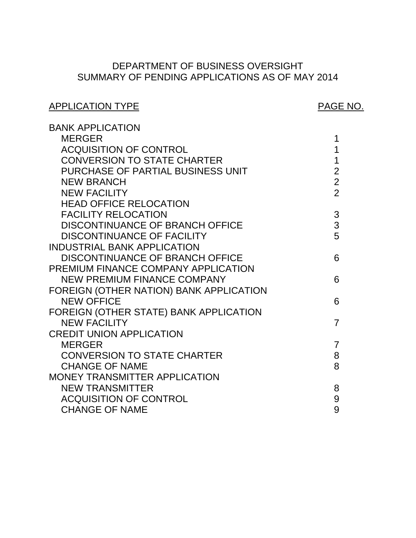# SUMMARY OF PENDING APPLICATIONS AS OF MAY 2014 DEPARTMENT OF BUSINESS OVERSIGHT

| <b>APPLICATION TYPE</b>                 | <b>PAGE NO.</b> |
|-----------------------------------------|-----------------|
| <b>BANK APPLICATION</b>                 |                 |
| <b>MERGER</b>                           | 1               |
| <b>ACQUISITION OF CONTROL</b>           | 1               |
| <b>CONVERSION TO STATE CHARTER</b>      | $\mathbf{1}$    |
| PURCHASE OF PARTIAL BUSINESS UNIT       | $\overline{2}$  |
| <b>NEW BRANCH</b>                       | $\overline{2}$  |
| <b>NEW FACILITY</b>                     | $\overline{2}$  |
| <b>HEAD OFFICE RELOCATION</b>           |                 |
| <b>FACILITY RELOCATION</b>              | 3               |
| DISCONTINUANCE OF BRANCH OFFICE         | 3               |
| <b>DISCONTINUANCE OF FACILITY</b>       | 5               |
| <b>INDUSTRIAL BANK APPLICATION</b>      |                 |
| <b>DISCONTINUANCE OF BRANCH OFFICE</b>  | 6               |
| PREMIUM FINANCE COMPANY APPLICATION     |                 |
| <b>NEW PREMIUM FINANCE COMPANY</b>      | 6               |
| FOREIGN (OTHER NATION) BANK APPLICATION |                 |
| <b>NEW OFFICE</b>                       | 6               |
| FOREIGN (OTHER STATE) BANK APPLICATION  |                 |
| <b>NEW FACILITY</b>                     | $\overline{7}$  |
| <b>CREDIT UNION APPLICATION</b>         |                 |
| <b>MERGER</b>                           | $\overline{7}$  |
| <b>CONVERSION TO STATE CHARTER</b>      | 8               |
| <b>CHANGE OF NAME</b>                   | 8               |
| MONEY TRANSMITTER APPLICATION           |                 |
| <b>NEW TRANSMITTER</b>                  | 8               |
| <b>ACQUISITION OF CONTROL</b>           | 9               |
| <b>CHANGE OF NAME</b>                   | 9               |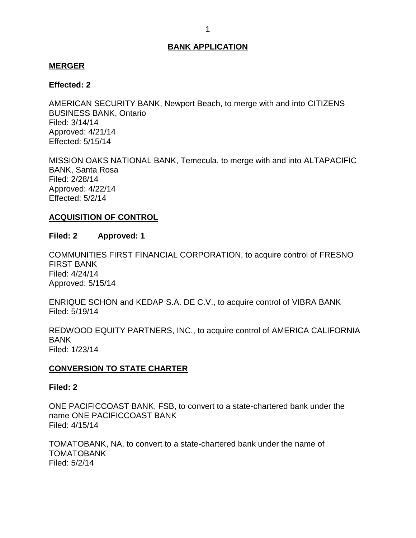### <span id="page-1-0"></span>**MERGER**

### **Effected: 2**

 AMERICAN SECURITY BANK, Newport Beach, to merge with and into CITIZENS BUSINESS BANK, Ontario Filed: 3/14/14 Approved: 4/21/14 Effected: 5/15/14

 MISSION OAKS NATIONAL BANK, Temecula, to merge with and into ALTAPACIFIC BANK, Santa Rosa Filed: 2/28/14 Approved: 4/22/14 Effected: 5/2/14

## **ACQUISITION OF CONTROL**

### **Filed: 2 Approved: 1**

 COMMUNITIES FIRST FINANCIAL CORPORATION, to acquire control of FRESNO FIRST BANK Filed: 4/24/14 Approved: 5/15/14

 ENRIQUE SCHON and KEDAP S.A. DE C.V., to acquire control of VIBRA BANK Filed: 5/19/14

 REDWOOD EQUITY PARTNERS, INC., to acquire control of AMERICA CALIFORNIA BANK Filed: 1/23/14

## **CONVERSION TO STATE CHARTER**

#### **Filed: 2**

 ONE PACIFICCOAST BANK, FSB, to convert to a state-chartered bank under the name ONE PACIFICCOAST BANK Filed: 4/15/14

 TOMATOBANK, NA, to convert to a state-chartered bank under the name of TOMATOBANK Filed: 5/2/14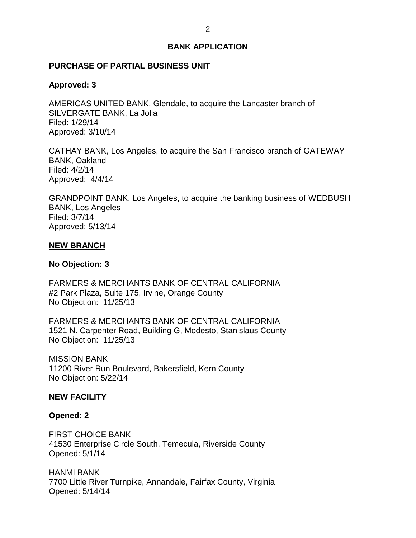#### <span id="page-2-0"></span>**PURCHASE OF PARTIAL BUSINESS UNIT**

#### **Approved: 3**

 AMERICAS UNITED BANK, Glendale, to acquire the Lancaster branch of SILVERGATE BANK, La Jolla Filed: 1/29/14 Approved: 3/10/14

 CATHAY BANK, Los Angeles, to acquire the San Francisco branch of GATEWAY Approved: 4/4/14 BANK, Oakland Filed: 4/2/14

 GRANDPOINT BANK, Los Angeles, to acquire the banking business of WEDBUSH BANK, Los Angeles Filed: 3/7/14 Approved: 5/13/14

#### **NEW BRANCH**

#### **No Objection: 3**

 FARMERS & MERCHANTS BANK OF CENTRAL CALIFORNIA #2 Park Plaza, Suite 175, Irvine, Orange County No Objection: 11/25/13

 FARMERS & MERCHANTS BANK OF CENTRAL CALIFORNIA 1521 N. Carpenter Road, Building G, Modesto, Stanislaus County No Objection: 11/25/13

 11200 River Run Boulevard, Bakersfield, Kern County No Objection: 5/22/14 MISSION BANK

#### **NEW FACILITY**

#### **Opened: 2**

 FIRST CHOICE BANK 41530 Enterprise Circle South, Temecula, Riverside County Opened: 5/1/14

 7700 Little River Turnpike, Annandale, Fairfax County, Virginia HANMI BANK Opened: 5/14/14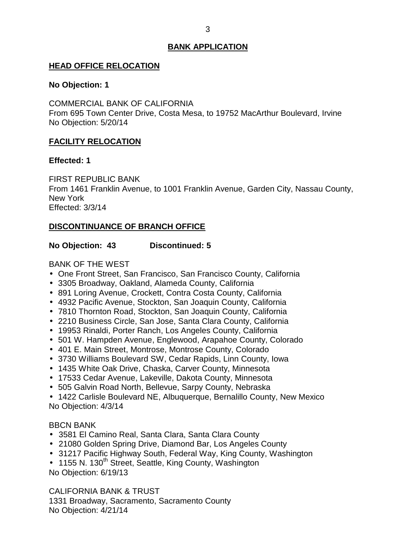## <span id="page-3-0"></span>**HEAD OFFICE RELOCATION**

### **No Objection: 1**

 COMMERCIAL BANK OF CALIFORNIA From 695 Town Center Drive, Costa Mesa, to 19752 MacArthur Boulevard, Irvine No Objection: 5/20/14

## **FACILITY RELOCATION**

## **Effected: 1**

 From 1461 Franklin Avenue, to 1001 Franklin Avenue, Garden City, Nassau County, FIRST REPUBLIC BANK New York Effected: 3/3/14

## **DISCONTINUANCE OF BRANCH OFFICE**

## **No Objection: 43 Discontinued: 5**

BANK OF THE WEST

- One Front Street, San Francisco, San Francisco County, California
- 3305 Broadway, Oakland, Alameda County, California
- 891 Loring Avenue, Crockett, Contra Costa County, California
- 4932 Pacific Avenue, Stockton, San Joaquin County, California
- 7810 Thornton Road, Stockton, San Joaquin County, California
- 2210 Business Circle, San Jose, Santa Clara County, California
- 19953 Rinaldi, Porter Ranch, Los Angeles County, California
- 501 W. Hampden Avenue, Englewood, Arapahoe County, Colorado
- 401 E. Main Street, Montrose, Montrose County, Colorado
- 3730 Williams Boulevard SW, Cedar Rapids, Linn County, Iowa
- 1435 White Oak Drive, Chaska, Carver County, Minnesota
- 17533 Cedar Avenue, Lakeville, Dakota County, Minnesota
- 505 Galvin Road North, Bellevue, Sarpy County, Nebraska

 1422 Carlisle Boulevard NE, Albuquerque, Bernalillo County, New Mexico No Objection: 4/3/14

## BBCN BANK

- 3581 El Camino Real, Santa Clara, Santa Clara County
- 21080 Golden Spring Drive, Diamond Bar, Los Angeles County
- 31217 Pacific Highway South, Federal Way, King County, Washington

• 1155 N. 130<sup>th</sup> Street, Seattle, King County, Washington No Objection: 6/19/13

 CALIFORNIA BANK & TRUST 1331 Broadway, Sacramento, Sacramento County No Objection: 4/21/14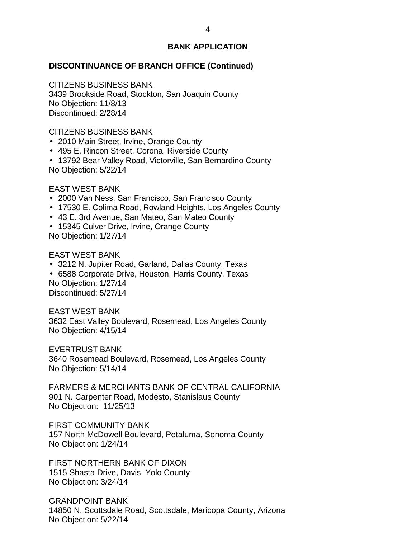#### **DISCONTINUANCE OF BRANCH OFFICE (Continued)**

 CITIZENS BUSINESS BANK 3439 Brookside Road, Stockton, San Joaquin County No Objection: 11/8/13 Discontinued: 2/28/14

CITIZENS BUSINESS BANK

- 2010 Main Street, Irvine, Orange County
- 495 E. Rincon Street, Corona, Riverside County
- 13792 Bear Valley Road, Victorville, San Bernardino County No Objection: 5/22/14

## EAST WEST BANK

- 2000 Van Ness, San Francisco, San Francisco County
- 17530 E. Colima Road, Rowland Heights, Los Angeles County
- 43 E. 3rd Avenue, San Mateo, San Mateo County
- 15345 Culver Drive, Irvine, Orange County No Objection: 1/27/14

#### EAST WEST BANK

- 3212 N. Jupiter Road, Garland, Dallas County, Texas
- 6588 Corporate Drive, Houston, Harris County, Texas No Objection: 1/27/14 Discontinued: 5/27/14

EAST WEST BANK

 3632 East Valley Boulevard, Rosemead, Los Angeles County No Objection: 4/15/14

EVERTRUST BANK

 3640 Rosemead Boulevard, Rosemead, Los Angeles County No Objection: 5/14/14

 FARMERS & MERCHANTS BANK OF CENTRAL CALIFORNIA 901 N. Carpenter Road, Modesto, Stanislaus County No Objection: 11/25/13

 157 North McDowell Boulevard, Petaluma, Sonoma County FIRST COMMUNITY BANK No Objection: 1/24/14

 1515 Shasta Drive, Davis, Yolo County No Objection: 3/24/14 FIRST NORTHERN BANK OF DIXON

 14850 N. Scottsdale Road, Scottsdale, Maricopa County, Arizona No Objection: 5/22/14 GRANDPOINT BANK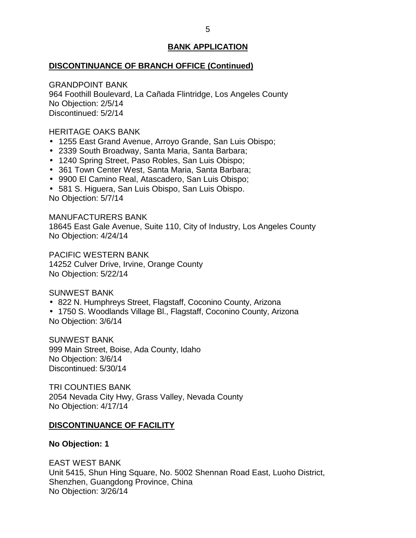#### <span id="page-5-0"></span>**DISCONTINUANCE OF BRANCH OFFICE (Continued)**

 964 Foothill Boulevard, La Cañada Flintridge, Los Angeles County No Objection: 2/5/14 GRANDPOINT BANK Discontinued: 5/2/14

HERITAGE OAKS BANK

- 1255 East Grand Avenue, Arroyo Grande, San Luis Obispo;
- 2339 South Broadway, Santa Maria, Santa Barbara;
- 1240 Spring Street, Paso Robles, San Luis Obispo;
- 361 Town Center West, Santa Maria, Santa Barbara;
- 9900 El Camino Real, Atascadero, San Luis Obispo;
- 581 S. Higuera, San Luis Obispo, San Luis Obispo. No Objection: 5/7/14

 18645 East Gale Avenue, Suite 110, City of Industry, Los Angeles County No Objection: 4/24/14 MANUFACTURERS BANK

 14252 Culver Drive, Irvine, Orange County No Objection: 5/22/14 PACIFIC WESTERN BANK

SUNWEST BANK

- 822 N. Humphreys Street, Flagstaff, Coconino County, Arizona
- 1750 S. Woodlands Village Bl., Flagstaff, Coconino County, Arizona No Objection: 3/6/14

 999 Main Street, Boise, Ada County, Idaho No Objection: 3/6/14 SUNWEST BANK Discontinued: 5/30/14

 2054 Nevada City Hwy, Grass Valley, Nevada County TRI COUNTIES BANK No Objection: 4/17/14

### **DISCONTINUANCE OF FACILITY**

**No Objection: 1** 

 EAST WEST BANK Unit 5415, Shun Hing Square, No. 5002 Shennan Road East, Luoho District, Shenzhen, Guangdong Province, China No Objection: 3/26/14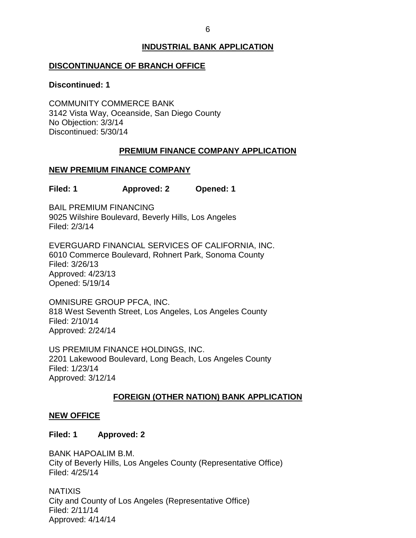## **INDUSTRIAL BANK APPLICATION**

## <span id="page-6-0"></span>**DISCONTINUANCE OF BRANCH OFFICE**

#### **Discontinued: 1**

 3142 Vista Way, Oceanside, San Diego County No Objection: 3/3/14 COMMUNITY COMMERCE BANK Discontinued: 5/30/14

## **PREMIUM FINANCE COMPANY APPLICATION**

## **NEW PREMIUM FINANCE COMPANY**

**Filed: 1 Approved: 2 Opened: 1** 

 9025 Wilshire Boulevard, Beverly Hills, Los Angeles BAIL PREMIUM FINANCING Filed: 2/3/14

 6010 Commerce Boulevard, Rohnert Park, Sonoma County EVERGUARD FINANCIAL SERVICES OF CALIFORNIA, INC. Filed: 3/26/13 Approved: 4/23/13 Opened: 5/19/14

 OMNISURE GROUP PFCA, INC. 818 West Seventh Street, Los Angeles, Los Angeles County Filed: 2/10/14 Approved: 2/24/14

 US PREMIUM FINANCE HOLDINGS, INC. 2201 Lakewood Boulevard, Long Beach, Los Angeles County Filed: 1/23/14 Approved: 3/12/14

## **FOREIGN (OTHER NATION) BANK APPLICATION**

### **NEW OFFICE**

### **Filed: 1 Approved: 2**

 City of Beverly Hills, Los Angeles County (Representative Office) BANK HAPOALIM B.M. Filed: 4/25/14

 City and County of Los Angeles (Representative Office) NATIXIS Filed: 2/11/14 Approved: 4/14/14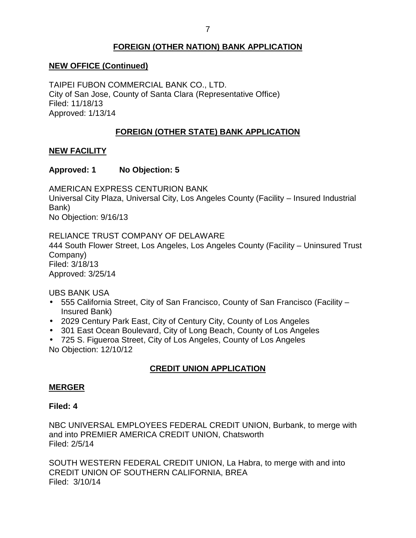## **FOREIGN (OTHER NATION) BANK APPLICATION**

## <span id="page-7-0"></span> **NEW OFFICE (Continued)**

 TAIPEI FUBON COMMERCIAL BANK CO., LTD. City of San Jose, County of Santa Clara (Representative Office) Filed: 11/18/13 Approved: 1/13/14

## **FOREIGN (OTHER STATE) BANK APPLICATION**

## **NEW FACILITY**

## **Approved: 1 No Objection: 5**

 Universal City Plaza, Universal City, Los Angeles County (Facility – Insured Industrial AMERICAN EXPRESS CENTURION BANK Bank) No Objection: 9/16/13

 RELIANCE TRUST COMPANY OF DELAWARE 444 South Flower Street, Los Angeles, Los Angeles County (Facility – Uninsured Trust Company) Filed: 3/18/13 Approved: 3/25/14

UBS BANK USA

- 555 California Street, City of San Francisco, County of San Francisco (Facility Insured Bank)
- 2029 Century Park East, City of Century City, County of Los Angeles
- 301 East Ocean Boulevard, City of Long Beach, County of Los Angeles
- 725 S. Figueroa Street, City of Los Angeles, County of Los Angeles No Objection: 12/10/12

## **CREDIT UNION APPLICATION**

### **MERGER**

### **Filed: 4**

 NBC UNIVERSAL EMPLOYEES FEDERAL CREDIT UNION, Burbank, to merge with and into PREMIER AMERICA CREDIT UNION, Chatsworth Filed: 2/5/14

 SOUTH WESTERN FEDERAL CREDIT UNION, La Habra, to merge with and into Filed: 3/10/14 CREDIT UNION OF SOUTHERN CALIFORNIA, BREA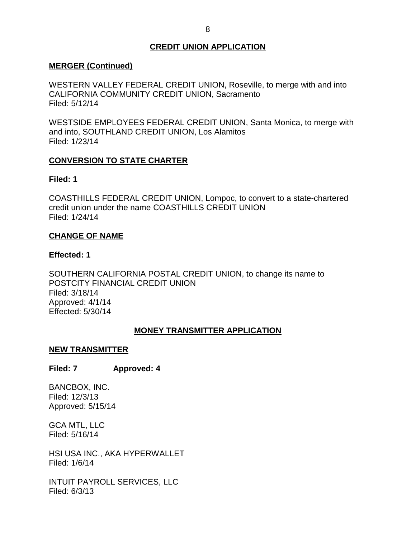## **CREDIT UNION APPLICATION**

## <span id="page-8-0"></span>**MERGER (Continued)**

 WESTERN VALLEY FEDERAL CREDIT UNION, Roseville, to merge with and into CALIFORNIA COMMUNITY CREDIT UNION, Sacramento Filed: 5/12/14

 WESTSIDE EMPLOYEES FEDERAL CREDIT UNION, Santa Monica, to merge with and into, SOUTHLAND CREDIT UNION, Los Alamitos Filed: 1/23/14

## **CONVERSION TO STATE CHARTER**

## **Filed: 1**

 COASTHILLS FEDERAL CREDIT UNION, Lompoc, to convert to a state-chartered credit union under the name COASTHILLS CREDIT UNION Filed: 1/24/14

## **CHANGE OF NAME**

## **Effected: 1**

 SOUTHERN CALIFORNIA POSTAL CREDIT UNION, to change its name to POSTCITY FINANCIAL CREDIT UNION Filed: 3/18/14 Approved: 4/1/14 Effected: 5/30/14

## **MONEY TRANSMITTER APPLICATION**

### **NEW TRANSMITTER**

## **Filed: 7 Approved: 4**

BANCBOX, INC. Filed: 12/3/13 Approved: 5/15/14

 GCA MTL, LLC Filed: 5/16/14

 HSI USA INC., AKA HYPERWALLET Filed: 1/6/14

 INTUIT PAYROLL SERVICES, LLC Filed: 6/3/13